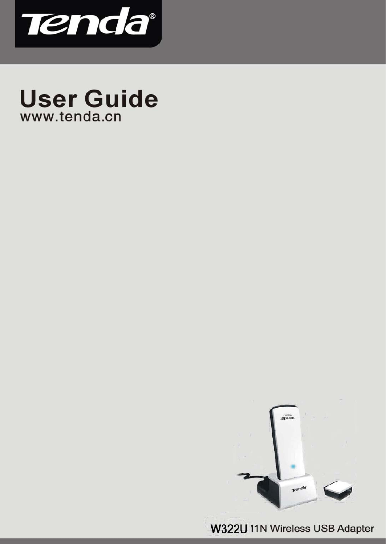

# **User Guide** www.tenda.cn



11N Wireless USB Adapter User Guide

-- 1 --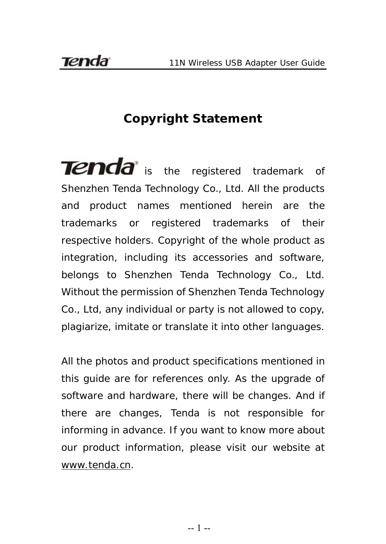# **Copyright Statement**

**Tenda** is the registered trademark of Shenzhen Tenda Technology Co., Ltd. All the products and product names mentioned herein are the trademarks or registered trademarks of their respective holders. Copyright of the whole product as integration, including its accessories and software, belongs to Shenzhen Tenda Technology Co., Ltd. Without the permission of Shenzhen Tenda Technology Co., Ltd, any individual or party is not allowed to copy, plagiarize, imitate or translate it into other languages.

All the photos and product specifications mentioned in this guide are for references only. As the upgrade of software and hardware, there will be changes. And if there are changes, Tenda is not responsible for informing in advance. If you want to know more about our product information, please visit our website at [www.tenda.cn](http://www.tenda.cn/).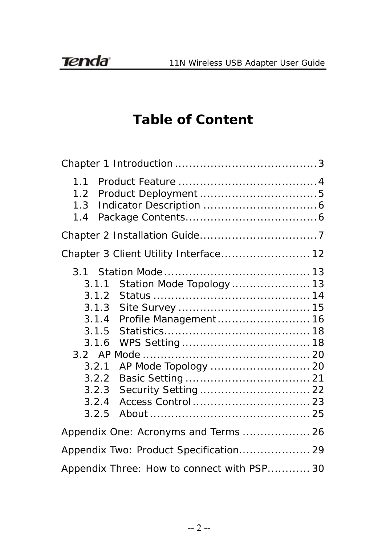# **Table of Content**

| 1.1<br>1.2<br>1.3<br>1.4                                                                                                                               |
|--------------------------------------------------------------------------------------------------------------------------------------------------------|
|                                                                                                                                                        |
| Chapter 3 Client Utility Interface 12                                                                                                                  |
| Station Mode Topology  13<br>3.1.1<br>3.1.2<br>3.1.3<br>Profile Management  16<br>3.1.4<br>3.1.5<br>3.1.6<br>3.2.1<br>3.2.2<br>3.2.3<br>3.2.4<br>3.2.5 |
| Appendix One: Acronyms and Terms  26                                                                                                                   |
| Appendix Two: Product Specification 29                                                                                                                 |
| Appendix Three: How to connect with PSP 30                                                                                                             |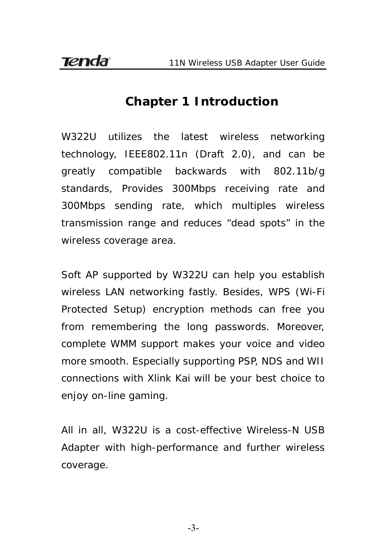### **Chapter 1 Introduction**

<span id="page-3-0"></span>W322U utilizes the latest wireless networking technology, IEEE802.11n (Draft 2.0), and can be greatly compatible backwards with 802.11b/g standards, Provides 300Mbps receiving rate and 300Mbps sending rate, which multiples wireless transmission range and reduces "dead spots" in the wireless coverage area.

Soft AP supported by W322U can help you establish wireless LAN networking fastly. Besides, WPS (Wi-Fi Protected Setup) encryption methods can free you from remembering the long passwords. Moreover, complete WMM support makes your voice and video more smooth. Especially supporting PSP, NDS and WII connections with Xlink Kai will be your best choice to enjoy on-line gaming.

All in all, W322U is a cost-effective Wireless-N USB Adapter with high-performance and further wireless coverage.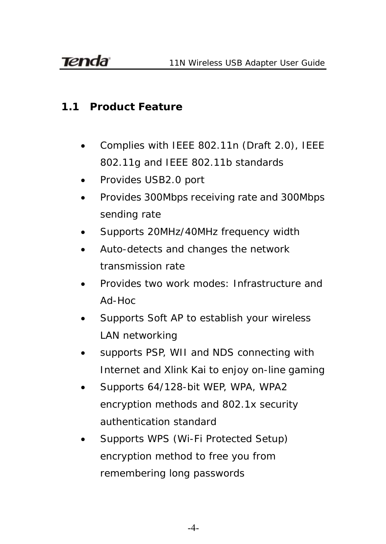#### <span id="page-4-0"></span>**1.1 Product Feature**

- Complies with IEEE 802.11n (Draft 2.0), IEEE 802.11g and IEEE 802.11b standards
- Provides USB2.0 port
- Provides 300Mbps receiving rate and 300Mbps sending rate
- Supports 20MHz/40MHz frequency width
- Auto-detects and changes the network transmission rate
- Provides two work modes: Infrastructure and Ad-Hoc
- Supports Soft AP to establish your wireless LAN networking
- supports PSP, WII and NDS connecting with Internet and Xlink Kai to enjoy on-line gaming
- Supports 64/128-bit WEP, WPA, WPA2 encryption methods and 802.1x security authentication standard
- Supports WPS (Wi-Fi Protected Setup) encryption method to free you from remembering long passwords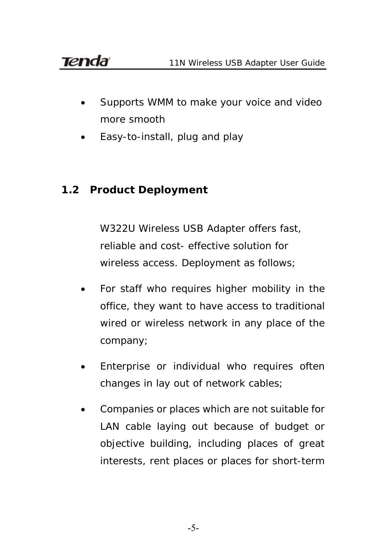- Supports WMM to make your voice and video more smooth
- Easy-to-install, plug and play

### <span id="page-5-0"></span>**1.2 Product Deployment**

W322U Wireless USB Adapter offers fast, reliable and cost- effective solution for wireless access. Deployment as follows;

- For staff who requires higher mobility in the office, they want to have access to traditional wired or wireless network in any place of the company;
- Enterprise or individual who requires often changes in lay out of network cables;
- Companies or places which are not suitable for LAN cable laying out because of budget or objective building, including places of great interests, rent places or places for short-term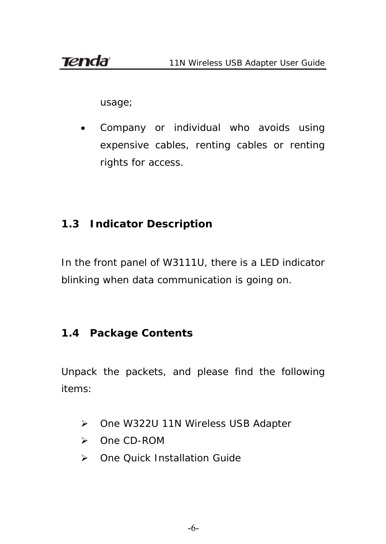usage;

 Company or individual who avoids using expensive cables, renting cables or renting rights for access.

# <span id="page-6-0"></span>**1.3 Indicator Description**

In the front panel of W3111U, there is a LED indicator blinking when data communication is going on.

### <span id="page-6-1"></span>**1.4 Package Contents**

Unpack the packets, and please find the following items:

- ▶ One W322U 11N Wireless USB Adapter
- One CD-ROM
- ▶ One Quick Installation Guide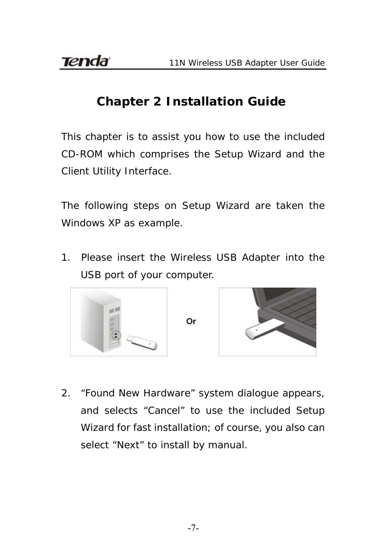# **Chapter 2 Installation Guide**

<span id="page-7-0"></span>This chapter is to assist you how to use the included CD-ROM which comprises the Setup Wizard and the Client Utility Interface.

The following steps on Setup Wizard are taken the Windows XP as example.

1. Please insert the Wireless USB Adapter into the USB port of your computer.



2. "Found New Hardware" system dialogue appears, and selects "Cancel" to use the included Setup Wizard for fast installation; of course, you also can select "Next" to install by manual.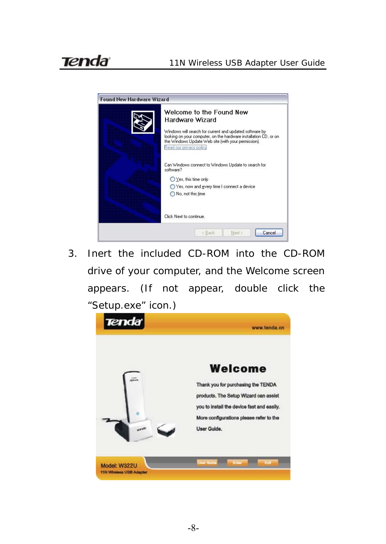

3. Inert the included CD-ROM into the CD-ROM drive of your computer, and the Welcome screen appears. (If not appear, double click the "Setup.exe" icon.)

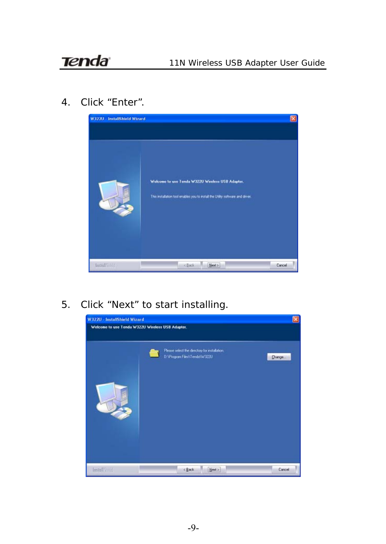4. Click "Enter".



5. Click "Next" to start installing.

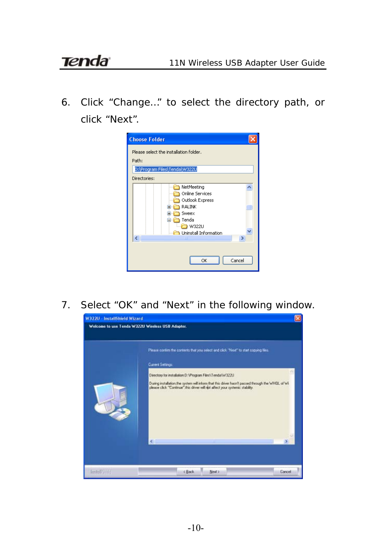6. Click "Change…" to select the directory path, or click "Next".

| <b>Choose Folder</b>                                                                                                       |
|----------------------------------------------------------------------------------------------------------------------------|
| Please select the installation folder.<br>Path:                                                                            |
| D:\Program Files\Tenda\W322U                                                                                               |
| Directories:                                                                                                               |
| NetMeeting<br>Online Services<br>Outlook Express<br>RALINK<br>Ŧ<br>Sweex<br>Tenda<br><b>W322U</b><br>Uninstall Information |
| ШI<br>Cancel<br>OK                                                                                                         |

7. Select "OK" and "Next" in the following window.

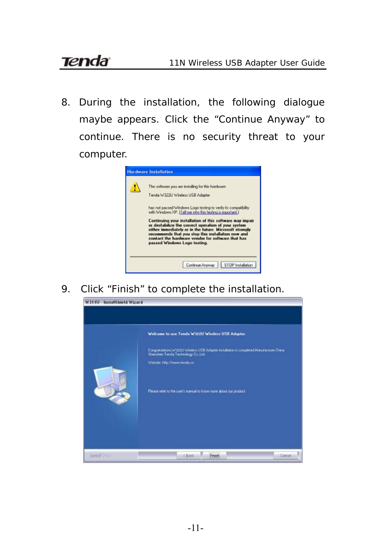8. During the installation, the following dialogue maybe appears. Click the "Continue Anyway" to continue. There is no security threat to your computer.



9. Click "Finish" to complete the installation.

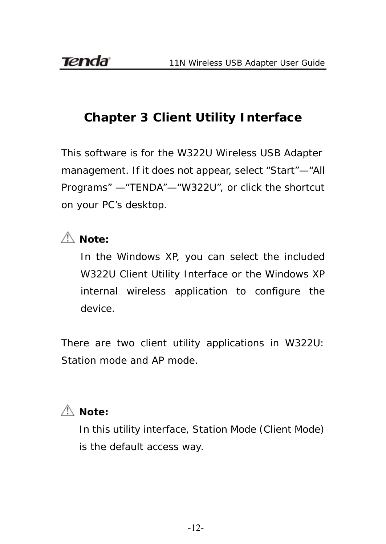# **Chapter 3 Client Utility Interface**

<span id="page-12-0"></span>This software is for the W322U Wireless USB Adapter management. If it does not appear, select "Start"—"All Programs" —"TENDA"—"W322U", or click the shortcut on your PC's desktop.

# $\triangle$  *Note:*

In the Windows XP, you can select the included W322U Client Utility Interface or the Windows XP internal wireless application to configure the device.

There are two client utility applications in W322U: Station mode and AP mode.

# $\triangle$  *Note:*

In this utility interface, Station Mode (Client Mode) is the default access way.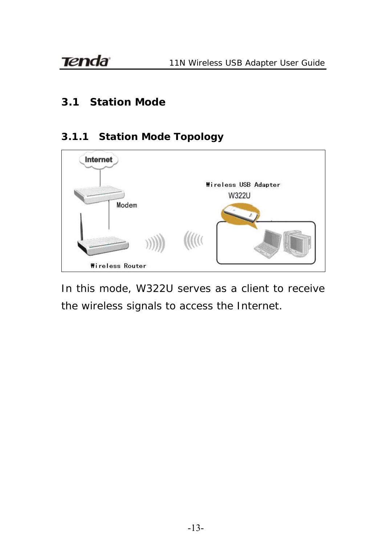#### <span id="page-13-0"></span>**3.1 Station Mode**

#### **3.1.1 Station Mode Topology**

<span id="page-13-1"></span>

In this mode, W322U serves as a client to receive the wireless signals to access the Internet.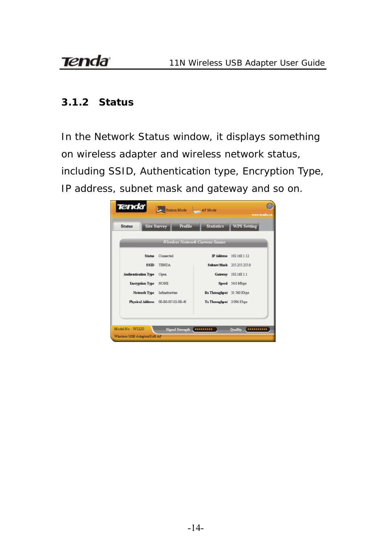#### <span id="page-14-0"></span>**3.1.2 Status**

In the Network Status window, it displays something on wireless adapter and wireless network status, including SSID, Authentication type, Encryption Type, IP address, subnet mask and gateway and so on.

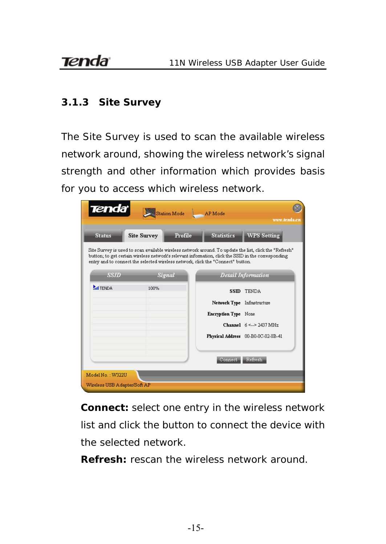#### <span id="page-15-0"></span>**3.1.3 Site Survey**

The Site Survey is used to scan the available wireless network around, showing the wireless network's signal strength and other information which provides basis for you to access which wireless network.

| <b>Tenda</b>                 | Station Mode                  | AP Mode<br>www.tenda.cn                                                                                                                                                                                                                                                                          |
|------------------------------|-------------------------------|--------------------------------------------------------------------------------------------------------------------------------------------------------------------------------------------------------------------------------------------------------------------------------------------------|
| <b>Status</b>                | Profile<br><b>Site Survey</b> | <b>Statistics</b><br><b>WPS Setting</b>                                                                                                                                                                                                                                                          |
|                              |                               | Site Survey is used to scan available wireless network around. To update the list, click the "Refresh"<br>button; to get certain wireless network's relevant information, click the SSID in the corresponding<br>entry and to connect the selected wireless network, click the "Connect" button. |
| <b>SSID</b>                  | <b>Signal</b>                 | Detail Information                                                                                                                                                                                                                                                                               |
| <b>MITENDA</b>               | 100%                          | <b>SSID TENDA</b>                                                                                                                                                                                                                                                                                |
|                              |                               | Network Type Infrastructure                                                                                                                                                                                                                                                                      |
|                              |                               | <b>Encryption Type None</b>                                                                                                                                                                                                                                                                      |
|                              |                               | Channel $6 \leq z \geq 2437$ MHz                                                                                                                                                                                                                                                                 |
|                              |                               | Physical Address 00-B0-0C-02-8B-41                                                                                                                                                                                                                                                               |
|                              |                               |                                                                                                                                                                                                                                                                                                  |
|                              |                               | Refresh.<br>Connect.                                                                                                                                                                                                                                                                             |
| Model No. : W322H            |                               |                                                                                                                                                                                                                                                                                                  |
| Wireless USB Adapter/Soft AP |                               |                                                                                                                                                                                                                                                                                                  |

**Connect:** select one entry in the wireless network list and click the button to connect the device with the selected network.

**Refresh:** rescan the wireless network around.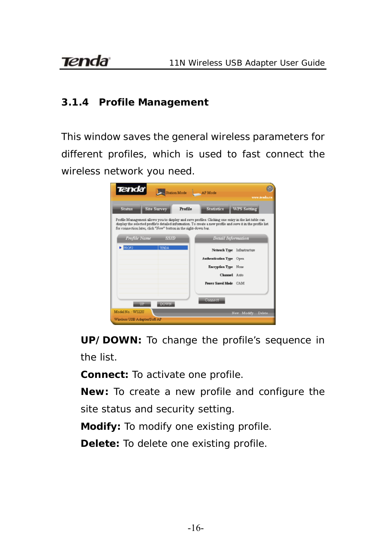#### <span id="page-16-0"></span>**3.1.4 Profile Management**

This window saves the general wireless parameters for different profiles, which is used to fast connect the wireless network you need.



**UP/DOWN:** To change the profile's sequence in the list.

**Connect:** To activate one profile.

**New:** To create a new profile and configure the

site status and security setting.

**Modify:** To modify one existing profile.

**Delete:** To delete one existing profile.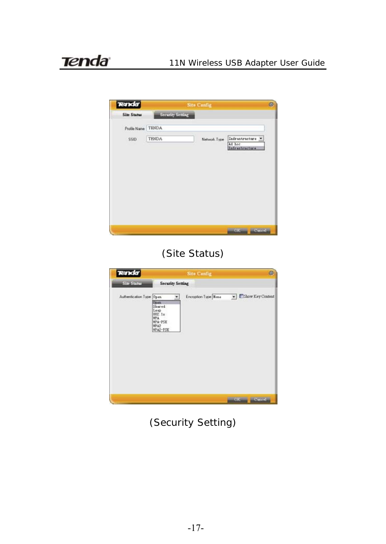| <b>Tenda</b>       |                  | <b>Site Config.</b> |                          | ø |
|--------------------|------------------|---------------------|--------------------------|---|
| <b>Site Status</b> | Security Setting |                     |                          |   |
| Profile Name TENDA |                  |                     |                          |   |
| SSID               | <b>TENDA</b>     | Network Type        | Infrastructure<br>Ad hot |   |
|                    |                  |                     | Infrastructure           |   |
|                    |                  |                     |                          |   |
|                    |                  |                     |                          |   |
|                    |                  |                     |                          |   |
|                    |                  |                     |                          |   |
|                    |                  |                     |                          |   |
|                    |                  |                     |                          |   |
|                    |                  |                     | <b>SEPARATE</b><br>OK    |   |
|                    |                  |                     |                          |   |

# (Site Status)



(Security Setting)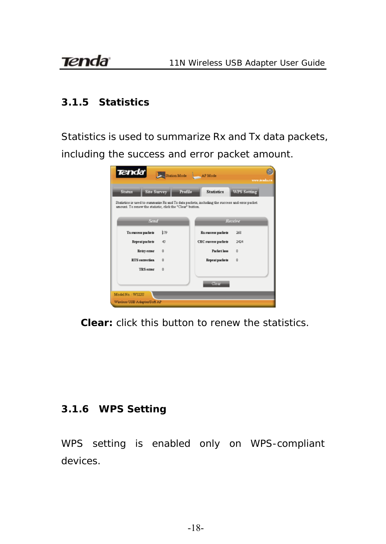#### <span id="page-18-0"></span>**3.1.5 Statistics**

Statistics is used to summarize Rx and Tx data packets, including the success and error packet amount.



**Clear:** click this button to renew the statistics.

#### <span id="page-18-1"></span>**3.1.6 WPS Setting**

WPS setting is enabled only on WPS-compliant devices.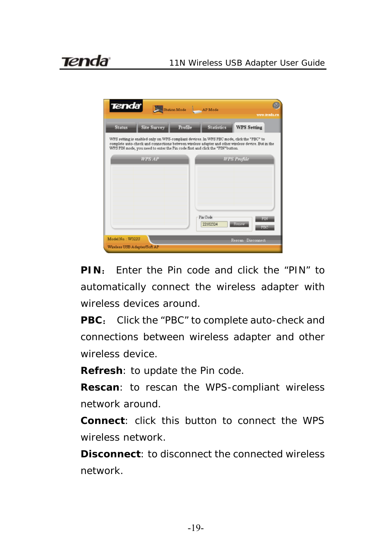

**PIN**: Enter the Pin code and click the "PIN" to automatically connect the wireless adapter with wireless devices around.

**PBC**: Click the "PBC" to complete auto-check and connections between wireless adapter and other wireless device.

**Refresh**: to update the Pin code.

**Rescan**: to rescan the WPS-compliant wireless network around.

**Connect**: click this button to connect the WPS wireless network.

**Disconnect**: to disconnect the connected wireless network.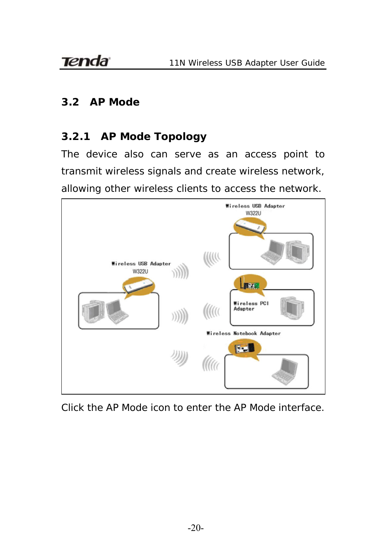#### <span id="page-20-0"></span>**3.2 AP Mode**

#### <span id="page-20-1"></span>**3.2.1 AP Mode Topology**

The device also can serve as an access point to transmit wireless signals and create wireless network, allowing other wireless clients to access the network.



Click the AP Mode icon to enter the AP Mode interface.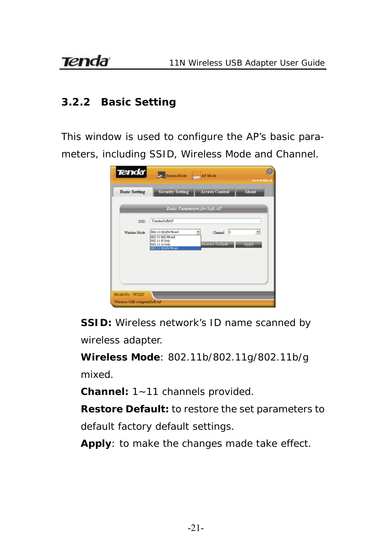#### <span id="page-21-0"></span>**3.2.2 Basic Setting**

This window is used to configure the AP's basic parameters, including SSID, Wireless Mode and Channel.

| <b>Tenda</b>         | Station Mode AP Mode                                                                           |                                     | www.tenda.co                      |
|----------------------|------------------------------------------------------------------------------------------------|-------------------------------------|-----------------------------------|
| <b>Basic Setting</b> | <b>Security Setting</b>                                                                        | <b>Access Control</b>               | About                             |
|                      |                                                                                                | <b>Basic Parameters for Soft AP</b> |                                   |
| SSID                 | Tenda-SoftAP                                                                                   |                                     |                                   |
| Winslegg Mode        | 802.11 B/G/N Mored<br>802.11 B/G Mixed<br>002.11 B Only<br>802.11 G Only<br>802.11 B/G/N Mored | Changel  <br>Restore Default.       | $\overline{\phantom{a}}$<br>Apply |
| Model No.: W322U     |                                                                                                |                                     |                                   |

**SSID:** Wireless network's ID name scanned by wireless adapter.

**Wireless Mode**: 802.11b/802.11g/802.11b/g mixed.

**Channel:** 1~11 channels provided.

**Restore Default:** to restore the set parameters to default factory default settings.

**Apply**: to make the changes made take effect.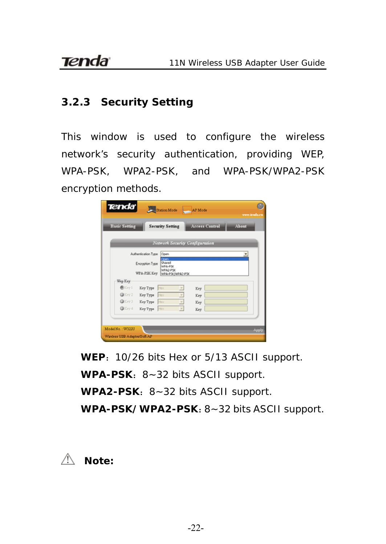#### <span id="page-22-0"></span>**3.2.3 Security Setting**

This window is used to configure the wireless network's security authentication, providing WEP, WPA-PSK, WPA2-PSK, and WPA-PSK/WPA2-PSK encryption methods.

| <b>Basic Setting</b> |                     | <b>Security Setting</b>               | <b>Access Control</b> | About |
|----------------------|---------------------|---------------------------------------|-----------------------|-------|
|                      |                     | <b>Network Security Configuration</b> |                       |       |
|                      | Authentication Type | <b>Coen</b>                           |                       |       |
|                      | Encryption Type     | Open<br>Shared<br>WDA-PSC             |                       |       |
|                      | WPA-PSK Key         | WPA2-PSC<br><b>WPA-PSK/WPA2-PSK</b>   |                       |       |
| Wep Key              |                     |                                       |                       |       |
| @Key 1               | Key Type            | Hex                                   | Key                   |       |
| @Key 2               | Key Type First      | $\tau$                                | Key                   |       |
| @Key3                | Key Type Hotel      | E                                     | Key                   |       |
| @Key 4               | Key Type   Hotel    | $\tau$                                | Key                   |       |
|                      |                     |                                       |                       |       |

**WEP**:10/26 bits Hex or 5/13 ASCII support. WPA-PSK: 8~32 bits ASCII support. WPA2-PSK: 8~32 bits ASCII support. **WPA-PSK/WPA2-PSK**:8~32 bits ASCII support.

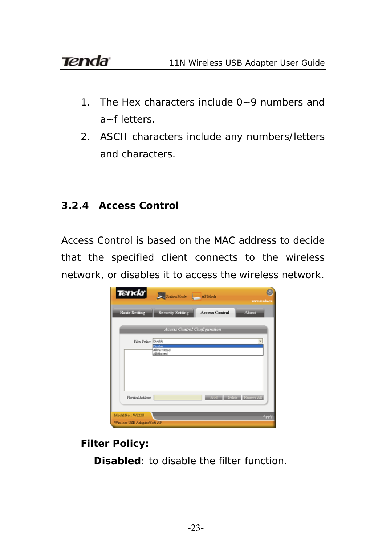- 1. The Hex characters include 0~9 numbers and a~f letters.
- 2. ASCII characters include any numbers/letters and characters.

#### <span id="page-23-0"></span>**3.2.4 Access Control**

Access Control is based on the MAC address to decide that the specified client connects to the wireless network, or disables it to access the wireless network.



**Filter Policy:** 

**Disabled**: to disable the filter function.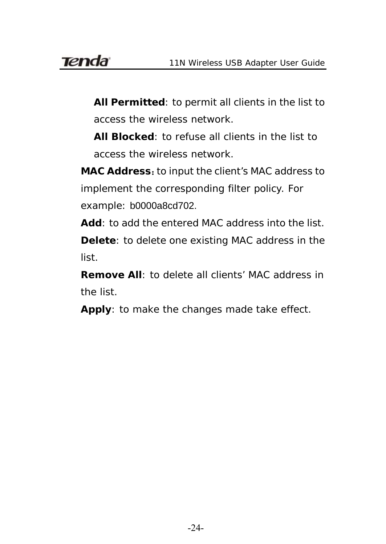**All Permitted**: to permit all clients in the list to access the wireless network.

**All Blocked**: to refuse all clients in the list to access the wireless network.

MAC Address: to input the client's MAC address to implement the corresponding filter policy. For example: b0000a8cd702.

**Add**: to add the entered MAC address into the list. **Delete**: to delete one existing MAC address in the list.

**Remove All**: to delete all clients' MAC address in the list.

**Apply**: to make the changes made take effect.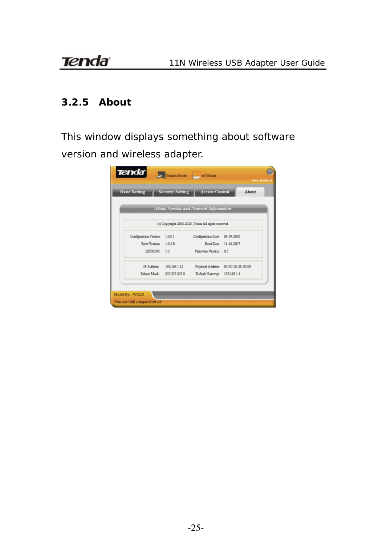#### **3.2.5 About**

This window displays something about software version and wireless adapter.

<span id="page-25-0"></span>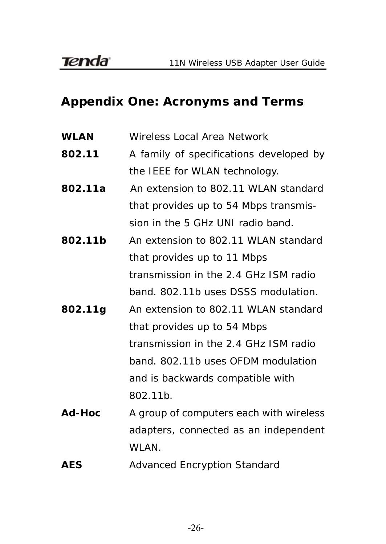# <span id="page-26-0"></span>**Appendix One: Acronyms and Terms**

- **WLAN** Wireless Local Area Network
- **802.11** A family of specifications developed by the IEEE for WLAN technology.
- **802.11a** An extension to 802.11 WLAN standard that provides up to 54 Mbps transmission in the 5 GHz UNI radio band.
- **802.11b** An extension to 802.11 WLAN standard that provides up to 11 Mbps transmission in the 2.4 GHz ISM radio band. 802.11b uses DSSS modulation.
- **802.11g** An extension to 802.11 WLAN standard that provides up to 54 Mbps transmission in the 2.4 GHz ISM radio band. 802.11b uses OFDM modulation and is backwards compatible with 802.11b.
- **Ad-Hoc** A group of computers each with wireless adapters, connected as an independent WLAN.
- **AES** Advanced Encryption Standard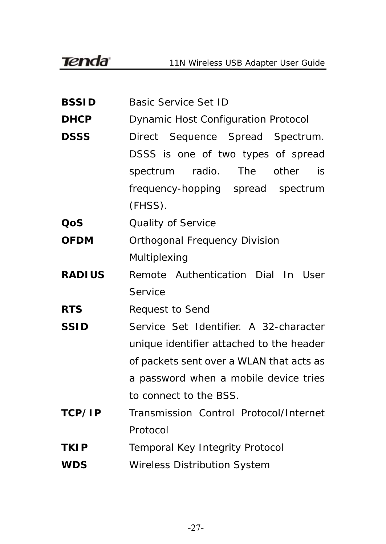**BSSID** Basic Service Set ID **DHCP** Dynamic Host Configuration Protocol **DSSS** Direct Sequence Spread Spectrum. DSSS is one of two types of spread spectrum radio. The other is frequency-hopping spread spectrum (FHSS). **QoS** Quality of Service **OFDM** Orthogonal Frequency Division Multiplexing **RADIUS** Remote Authentication Dial In User **Service RTS** Request to Send **SSID** Service Set Identifier. A 32-character unique identifier attached to the header of packets sent over a WLAN that acts as a password when a mobile device tries to connect to the BSS. **TCP/IP** Transmission Control Protocol/Internet Protocol **TKIP** Temporal Key Integrity Protocol **WDS** Wireless Distribution System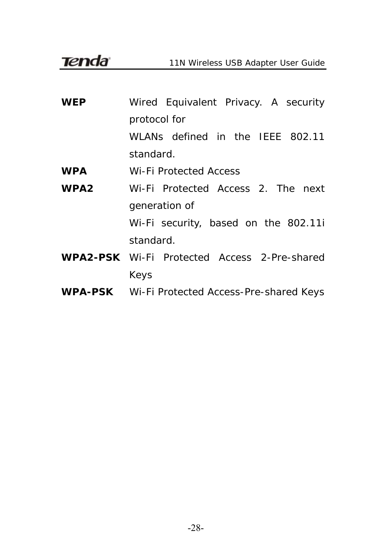**Tenda** 

11N Wireless USB Adapter User Guide

| <b>WEP</b>       | Wired Equivalent Privacy. A security                |  |  |
|------------------|-----------------------------------------------------|--|--|
|                  | protocol for                                        |  |  |
|                  | WLANs defined in the IEEE 802.11                    |  |  |
|                  | standard.                                           |  |  |
| <b>WPA</b>       | Wi-Fi Protected Access                              |  |  |
| WPA <sub>2</sub> | Wi-Fi Protected Access 2. The next                  |  |  |
|                  | generation of                                       |  |  |
|                  | Wi-Fi security, based on the 802.11i                |  |  |
|                  | standard.                                           |  |  |
|                  | <b>WPA2-PSK</b> Wi-Fi Protected Access 2-Pre-shared |  |  |
|                  | Keys                                                |  |  |

**WPA-PSK** Wi-Fi Protected Access-Pre-shared Keys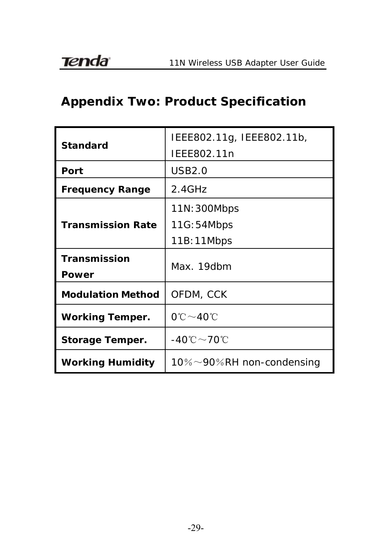# <span id="page-29-0"></span>**Appendix Two: Product Specification**

| <b>Standard</b>          | IEEE802.11g, IEEE802.11b,<br>IEEE802.11n |
|--------------------------|------------------------------------------|
| Port                     | USB2.0                                   |
| <b>Frequency Range</b>   | $2.4$ GHz                                |
|                          | 11N: 300Mbps                             |
| <b>Transmission Rate</b> | 11G:54Mbps                               |
|                          | 11B: 11Mbps                              |
| Transmission<br>Power    | Max. 19dbm                               |
| <b>Modulation Method</b> | OFDM, CCK                                |
| <b>Working Temper.</b>   | 0℃~40℃                                   |
| Storage Temper.          | -40℃~70℃                                 |
| <b>Working Humidity</b>  | 10% $\sim$ 90%RH non-condensing          |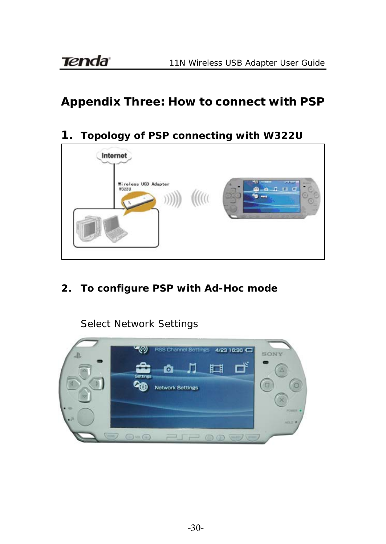# **Appendix Three: How to connect with PSP**

### **1. Topology of PSP connecting with W322U**



**2. To configure PSP with Ad-Hoc mode** 

Select Network Settings

<span id="page-30-0"></span>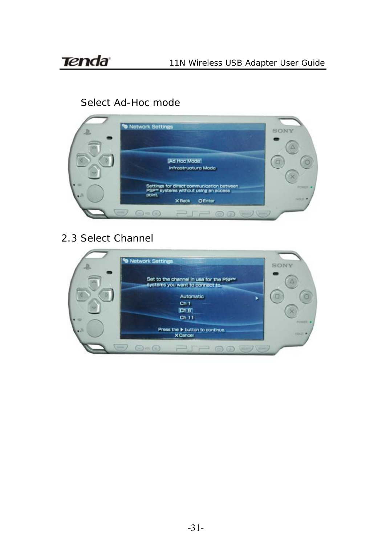### Select Ad-Hoc mode



2.3 Select Channel

|   | <b>90 Network Settings</b>                                                            | SONY |
|---|---------------------------------------------------------------------------------------|------|
|   | Set to the channel in use for the PSP <sup>w</sup><br>systems you want to connect to. |      |
|   | Automatic<br>Ch <sub>1</sub>                                                          |      |
|   | [ChB]<br>Ch11                                                                         |      |
|   | Press the button to continue.<br><b>X</b> Cancel                                      |      |
| - | VCT<br>74                                                                             |      |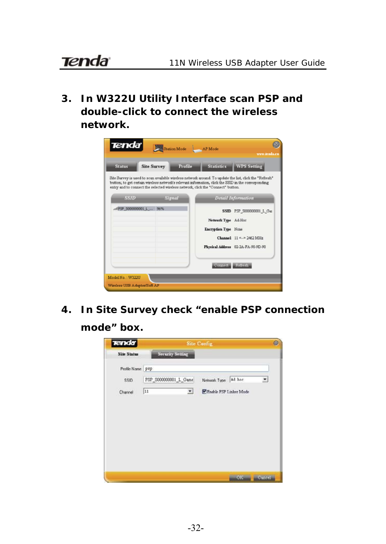**3. In W322U Utility Interface scan PSP and double-click to connect the wireless network.** 



**4. In Site Survey check "enable PSP connection** 

**mode" box.** 

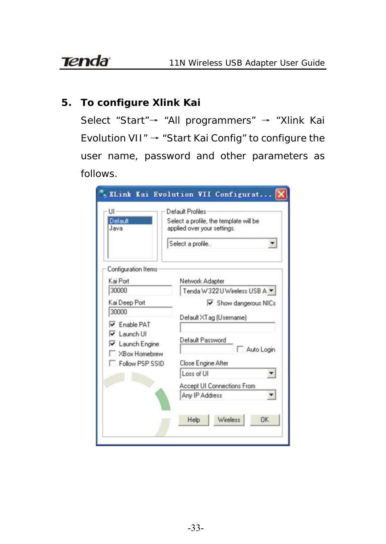#### **5. To configure Xlink Kai**

Select "Start"→ "All programmers" → "Xlink Kai Evolution VII" → "Start Kai Config" to configure the user name, password and other parameters as follows.

| UI<br>Default<br>Java                                                                                                          | Default Profiles<br>Select a profile, the template will be<br>applied over your settings.<br>Select a profile<br>▼       |  |
|--------------------------------------------------------------------------------------------------------------------------------|--------------------------------------------------------------------------------------------------------------------------|--|
| Configuration Items<br>Kai Port                                                                                                | Network Adapter                                                                                                          |  |
| 30000                                                                                                                          | Tenda W322U Wireless USB A -                                                                                             |  |
| Kai Deep Port<br>30000<br>Enable PAT<br>$\overline{\mathbf{v}}$ Launch UI<br>Launch Engine<br>XBox Homebrew<br>Follow PSP SSID | $\triangleright$ Show dangerous NICs<br>Default XT ag [Username]<br>Default Password<br>Auto Login<br>Close Engine After |  |
|                                                                                                                                | Loss of UI<br>▼<br>Accept UI Connections From<br>Any IP Address<br>Wireless<br><b>DK</b><br>Help                         |  |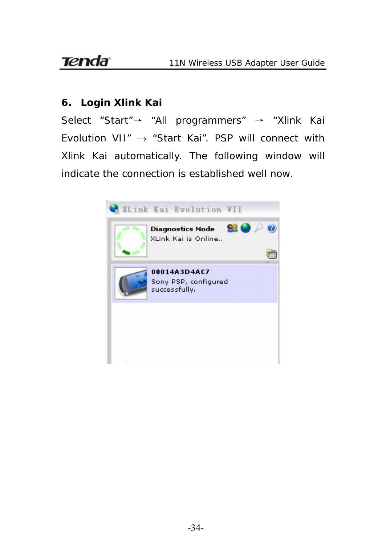# **Tenda**

#### **6. Login Xlink Kai**

Select "Start"→ "All programmers" → "Xlink Kai Evolution VII" → "Start Kai". PSP will connect with Xlink Kai automatically. The following window will indicate the connection is established well now.